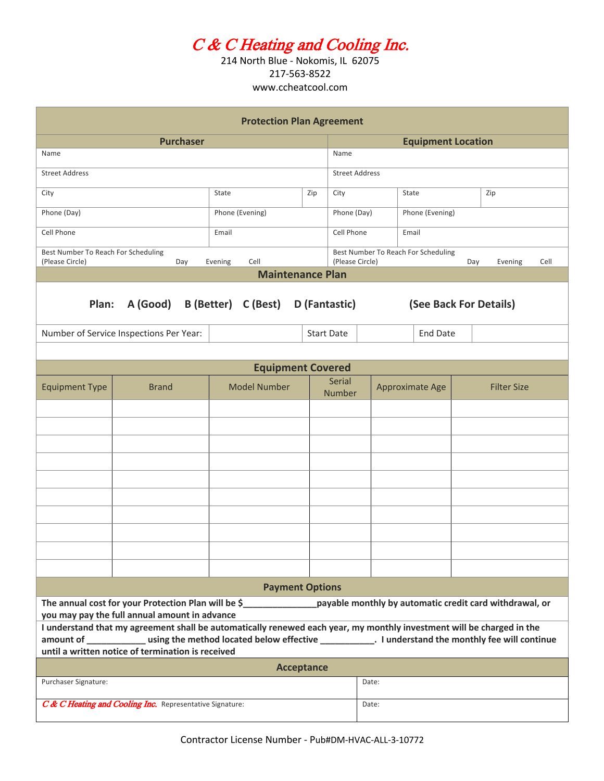# C & C Heating and Cooling Inc.

214 North Blue - Nokomis, IL 62075 217-563-8522 www.ccheatcool.com

| <b>Protection Plan Agreement</b>                                                                                                                                               |                                                                                                                       |                 |                     |  |     |                                                                                  |                 |                 |                    |     |
|--------------------------------------------------------------------------------------------------------------------------------------------------------------------------------|-----------------------------------------------------------------------------------------------------------------------|-----------------|---------------------|--|-----|----------------------------------------------------------------------------------|-----------------|-----------------|--------------------|-----|
| <b>Purchaser</b>                                                                                                                                                               |                                                                                                                       |                 |                     |  |     | <b>Equipment Location</b>                                                        |                 |                 |                    |     |
| Name                                                                                                                                                                           |                                                                                                                       |                 |                     |  |     | Name                                                                             |                 |                 |                    |     |
| <b>Street Address</b>                                                                                                                                                          |                                                                                                                       |                 |                     |  |     | <b>Street Address</b>                                                            |                 |                 |                    |     |
| City                                                                                                                                                                           |                                                                                                                       | State           |                     |  | Zip | City                                                                             |                 | State           |                    | Zip |
| Phone (Day)                                                                                                                                                                    |                                                                                                                       | Phone (Evening) |                     |  |     | Phone (Day)                                                                      |                 | Phone (Evening) |                    |     |
| Cell Phone                                                                                                                                                                     |                                                                                                                       |                 | Email               |  |     | Cell Phone                                                                       |                 | Email           |                    |     |
| Best Number To Reach For Scheduling<br>(Please Circle)<br>Cell<br>Day<br>Evening                                                                                               |                                                                                                                       |                 |                     |  |     | Best Number To Reach For Scheduling<br>(Please Circle)<br>Cell<br>Day<br>Evening |                 |                 |                    |     |
| <b>Maintenance Plan</b>                                                                                                                                                        |                                                                                                                       |                 |                     |  |     |                                                                                  |                 |                 |                    |     |
| A (Good) B (Better) C (Best) D (Fantastic)<br>Plan:<br>(See Back For Details)                                                                                                  |                                                                                                                       |                 |                     |  |     |                                                                                  |                 |                 |                    |     |
| Number of Service Inspections Per Year:                                                                                                                                        |                                                                                                                       |                 |                     |  |     | <b>Start Date</b>                                                                |                 | <b>End Date</b> |                    |     |
|                                                                                                                                                                                |                                                                                                                       |                 |                     |  |     |                                                                                  |                 |                 |                    |     |
| <b>Equipment Covered</b>                                                                                                                                                       |                                                                                                                       |                 |                     |  |     |                                                                                  |                 |                 |                    |     |
| <b>Equipment Type</b>                                                                                                                                                          | <b>Brand</b>                                                                                                          |                 | <b>Model Number</b> |  |     | <b>Serial</b><br><b>Number</b>                                                   | Approximate Age |                 | <b>Filter Size</b> |     |
|                                                                                                                                                                                |                                                                                                                       |                 |                     |  |     |                                                                                  |                 |                 |                    |     |
|                                                                                                                                                                                |                                                                                                                       |                 |                     |  |     |                                                                                  |                 |                 |                    |     |
|                                                                                                                                                                                |                                                                                                                       |                 |                     |  |     |                                                                                  |                 |                 |                    |     |
|                                                                                                                                                                                |                                                                                                                       |                 |                     |  |     |                                                                                  |                 |                 |                    |     |
|                                                                                                                                                                                |                                                                                                                       |                 |                     |  |     |                                                                                  |                 |                 |                    |     |
|                                                                                                                                                                                |                                                                                                                       |                 |                     |  |     |                                                                                  |                 |                 |                    |     |
|                                                                                                                                                                                |                                                                                                                       |                 |                     |  |     |                                                                                  |                 |                 |                    |     |
|                                                                                                                                                                                |                                                                                                                       |                 |                     |  |     |                                                                                  |                 |                 |                    |     |
|                                                                                                                                                                                |                                                                                                                       |                 |                     |  |     |                                                                                  |                 |                 |                    |     |
| <b>Payment Options</b>                                                                                                                                                         |                                                                                                                       |                 |                     |  |     |                                                                                  |                 |                 |                    |     |
| The annual cost for your Protection Plan will be \$___________________payable monthly by automatic credit card withdrawal, or<br>you may pay the full annual amount in advance |                                                                                                                       |                 |                     |  |     |                                                                                  |                 |                 |                    |     |
|                                                                                                                                                                                | I understand that my agreement shall be automatically renewed each year, my monthly investment will be charged in the |                 |                     |  |     |                                                                                  |                 |                 |                    |     |
| until a written notice of termination is received                                                                                                                              |                                                                                                                       |                 |                     |  |     |                                                                                  |                 |                 |                    |     |
| <b>Acceptance</b>                                                                                                                                                              |                                                                                                                       |                 |                     |  |     |                                                                                  |                 |                 |                    |     |
| Purchaser Signature:                                                                                                                                                           |                                                                                                                       |                 |                     |  |     |                                                                                  | Date:           |                 |                    |     |
| C& C Heating and Cooling Inc. Representative Signature:                                                                                                                        |                                                                                                                       |                 |                     |  |     |                                                                                  | Date:           |                 |                    |     |